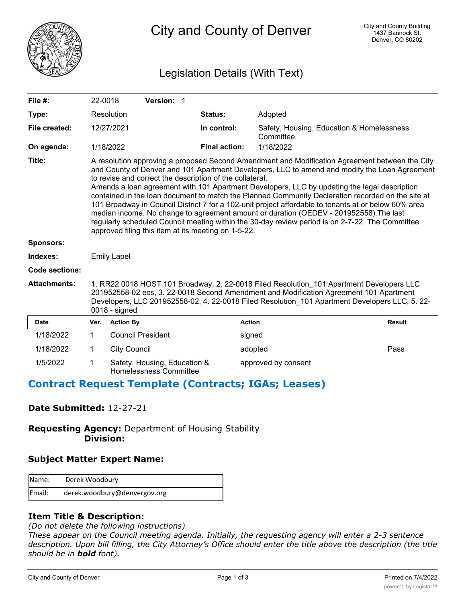

City and County of Denver

# Legislation Details (With Text)

| File #:               | 22-0018                                                                                                                                                                                                                                                                                                                                                                                                                                                                                                                                                                                                                                                                                                                                                                                                                      |                          | Version: 1                                             |                      |                                                        |               |
|-----------------------|------------------------------------------------------------------------------------------------------------------------------------------------------------------------------------------------------------------------------------------------------------------------------------------------------------------------------------------------------------------------------------------------------------------------------------------------------------------------------------------------------------------------------------------------------------------------------------------------------------------------------------------------------------------------------------------------------------------------------------------------------------------------------------------------------------------------------|--------------------------|--------------------------------------------------------|----------------------|--------------------------------------------------------|---------------|
| Type:                 |                                                                                                                                                                                                                                                                                                                                                                                                                                                                                                                                                                                                                                                                                                                                                                                                                              | Resolution               |                                                        | <b>Status:</b>       | Adopted                                                |               |
| File created:         |                                                                                                                                                                                                                                                                                                                                                                                                                                                                                                                                                                                                                                                                                                                                                                                                                              | 12/27/2021               |                                                        | In control:          | Safety, Housing, Education & Homelessness<br>Committee |               |
| On agenda:            |                                                                                                                                                                                                                                                                                                                                                                                                                                                                                                                                                                                                                                                                                                                                                                                                                              | 1/18/2022                |                                                        | <b>Final action:</b> | 1/18/2022                                              |               |
| Title:                | A resolution approving a proposed Second Amendment and Modification Agreement between the City<br>and County of Denver and 101 Apartment Developers, LLC to amend and modify the Loan Agreement<br>to revise and correct the description of the collateral.<br>Amends a loan agreement with 101 Apartment Developers, LLC by updating the legal description<br>contained in the loan document to match the Planned Community Declaration recorded on the site at<br>101 Broadway in Council District 7 for a 102-unit project affordable to tenants at or below 60% area<br>median income. No change to agreement amount or duration (OEDEV - 201952558). The last<br>regularly scheduled Council meeting within the 30-day review period is on 2-7-22. The Committee<br>approved filing this item at its meeting on 1-5-22. |                          |                                                        |                      |                                                        |               |
| <b>Sponsors:</b>      |                                                                                                                                                                                                                                                                                                                                                                                                                                                                                                                                                                                                                                                                                                                                                                                                                              |                          |                                                        |                      |                                                        |               |
| Indexes:              | <b>Emily Lapel</b>                                                                                                                                                                                                                                                                                                                                                                                                                                                                                                                                                                                                                                                                                                                                                                                                           |                          |                                                        |                      |                                                        |               |
| <b>Code sections:</b> |                                                                                                                                                                                                                                                                                                                                                                                                                                                                                                                                                                                                                                                                                                                                                                                                                              |                          |                                                        |                      |                                                        |               |
| <b>Attachments:</b>   | 1. RR22 0018 HOST 101 Broadway, 2. 22-0018 Filed Resolution 101 Apartment Developers LLC<br>201952558-02 ecs, 3. 22-0018 Second Amendment and Modification Agreement 101 Apartment<br>Developers, LLC 201952558-02, 4. 22-0018 Filed Resolution 101 Apartment Developers LLC, 5. 22-<br>$0018 -$ signed                                                                                                                                                                                                                                                                                                                                                                                                                                                                                                                      |                          |                                                        |                      |                                                        |               |
| <b>Date</b>           | Ver.                                                                                                                                                                                                                                                                                                                                                                                                                                                                                                                                                                                                                                                                                                                                                                                                                         | <b>Action By</b>         |                                                        |                      | <b>Action</b>                                          | <b>Result</b> |
| 1/18/2022             | 1                                                                                                                                                                                                                                                                                                                                                                                                                                                                                                                                                                                                                                                                                                                                                                                                                            | <b>Council President</b> |                                                        |                      | signed                                                 |               |
| 1/18/2022             | 1                                                                                                                                                                                                                                                                                                                                                                                                                                                                                                                                                                                                                                                                                                                                                                                                                            | <b>City Council</b>      |                                                        |                      | adopted                                                | Pass          |
| 1/5/2022              | 1                                                                                                                                                                                                                                                                                                                                                                                                                                                                                                                                                                                                                                                                                                                                                                                                                            |                          | Safety, Housing, Education &<br>Homelessness Committee |                      | approved by consent                                    |               |

## **Contract Request Template (Contracts; IGAs; Leases)**

## **Date Submitted:** 12-27-21

**Requesting Agency:** Department of Housing Stability  **Division:**

## **Subject Matter Expert Name:**

| Name:  | Derek Woodbury               |
|--------|------------------------------|
| Email: | derek.woodbury@denvergov.org |

## **Item Title & Description:**

*(Do not delete the following instructions)*

*These appear on the Council meeting agenda. Initially, the requesting agency will enter a 2-3 sentence description. Upon bill filling, the City Attorney's Office should enter the title above the description (the title should be in bold font).*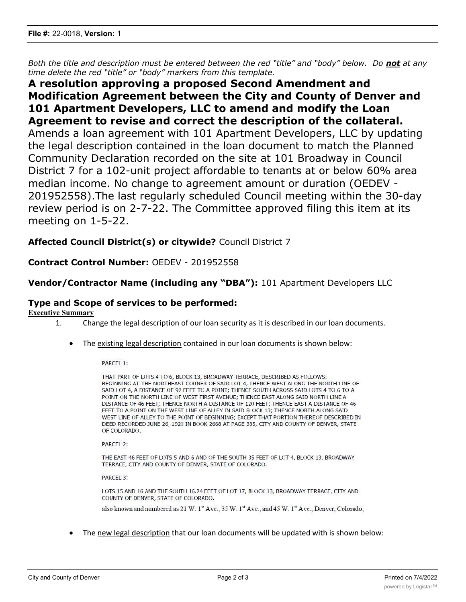*Both the title and description must be entered between the red "title" and "body" below. Do not at any time delete the red "title" or "body" markers from this template.*

# **A resolution approving a proposed Second Amendment and Modification Agreement between the City and County of Denver and 101 Apartment Developers, LLC to amend and modify the Loan Agreement to revise and correct the description of the collateral.** Amends a loan agreement with 101 Apartment Developers, LLC by updating the legal description contained in the loan document to match the Planned Community Declaration recorded on the site at 101 Broadway in Council District 7 for a 102-unit project affordable to tenants at or below 60% area median income. No change to agreement amount or duration (OEDEV - 201952558).The last regularly scheduled Council meeting within the 30-day review period is on 2-7-22. The Committee approved filing this item at its meeting on 1-5-22.

## **Affected Council District(s) or citywide?** Council District 7

## **Contract Control Number:** OEDEV - 201952558

#### **Vendor/Contractor Name (including any "DBA"):** 101 Apartment Developers LLC

#### **Type and Scope of services to be performed:**

#### **Executive Summary**

- 1. Change the legal description of our loan security as it is described in our loan documents.
	- · The existing legal description contained in our loan documents is shown below:

PARCEL 1:

THAT PART OF LOTS 4 TO 6, BLOCK 13, BROADWAY TERRACE, DESCRIBED AS FOLLOWS: BEGINNING AT THE NORTHEAST CORNER OF SAID LOT 4, THENCE WEST ALONG THE NORTH LINE OF SAID LOT 4, A DISTANCE OF 92 FEET TO A POINT; THENCE SOUTH ACROSS SAID LOTS 4 TO 6 TO A POINT ON THE NORTH LINE OF WEST FIRST AVENUE; THENCE EAST ALONG SAID NORTH LINE A DISTANCE OF 46 FEET; THENCE NORTH A DISTANCE OF 120 FEET; THENCE EAST A DISTANCE OF 46 FEET TO A POINT ON THE WEST LINE OF ALLEY IN SAID BLOCK 13; THENCE NORTH ALONG SAID WEST LINE OF ALLEY TO THE POINT OF BEGINNING; EXCEPT THAT PORTION THEREOF DESCRIBED IN DEED RECORDED JUNE 26, 1920 IN BOOK 2668 AT PAGE 335, CITY AND COUNTY OF DENVER, STATE OF COLORADO.

PARCEL 2:

THE EAST 46 FEET OF LOTS 5 AND 6 AND OF THE SOUTH 35 FEET OF LOT 4, BLOCK 13, BROADWAY TERRACE, CITY AND COUNTY OF DENVER, STATE OF COLORADO.

PARCEL 3:

LOTS 15 AND 16 AND THE SOUTH 16.24 FEET OF LOT 17, BLOCK 13, BROADWAY TERRACE, CITY AND COUNTY OF DENVER, STATE OF COLORADO.

also known and numbered as 21 W. 1<sup>st</sup> Ave., 35 W. 1<sup>st</sup> Ave., and 45 W. 1<sup>st</sup> Ave., Denver, Colorado;

· The new legal description that our loan documents will be updated with is shown below: